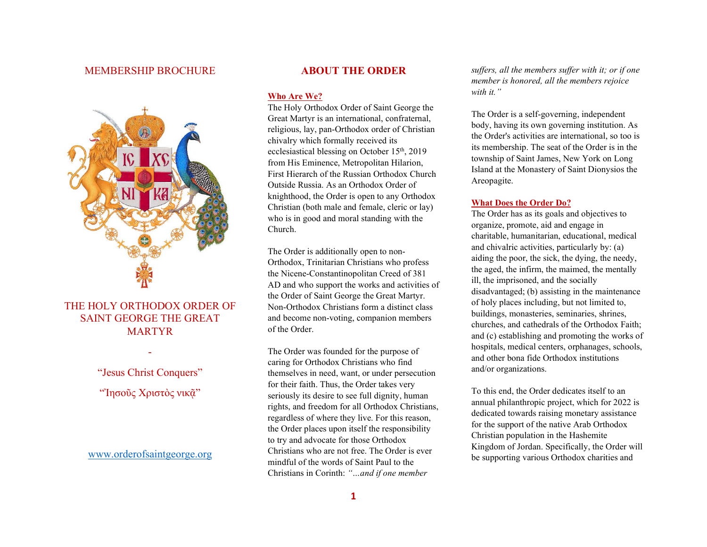# MEMBERSHIP BROCHURE



# THE HOLY ORTHODOX ORDER OF SAINT GEORGE THE GREAT MARTYR

"Jesus Christ Conquers"

-

"Ίησοῦς Χριστὸς νικᾶ"

www.orderofsaintgeorge.org

# ABOUT THE ORDER

### Who Are We?

The Holy Orthodox Order of Saint George the Great Martyr is an international, confraternal, religious, lay, pan-Orthodox order of Christian chivalry which formally received its ecclesiastical blessing on October 15<sup>th</sup>, 2019 from His Eminence, Metropolitan Hilarion, First Hierarch of the Russian Orthodox Church Outside Russia. As an Orthodox Order of knighthood, the Order is open to any Orthodox Christian (both male and female, cleric or lay) who is in good and moral standing with the Church.

The Order is additionally open to non-Orthodox, Trinitarian Christians who profess the Nicene-Constantinopolitan Creed of 381 AD and who support the works and activities of the Order of Saint George the Great Martyr. Non-Orthodox Christians form a distinct class and become non-voting, companion members of the Order.

The Order was founded for the purpose of caring for Orthodox Christians who find themselves in need, want, or under persecution for their faith. Thus, the Order takes very seriously its desire to see full dignity, human rights, and freedom for all Orthodox Christians, regardless of where they live. For this reason, the Order places upon itself the responsibility to try and advocate for those Orthodox Christians who are not free. The Order is ever mindful of the words of Saint Paul to the Christians in Corinth: "…and if one member

suffers, all the members suffer with it; or if one member is honored, all the members rejoice with it."

The Order is a self-governing, independent body, having its own governing institution. As the Order's activities are international, so too is its membership. The seat of the Order is in the township of Saint James, New York on Long Island at the Monastery of Saint Dionysios the Areopagite.

#### What Does the Order Do?

The Order has as its goals and objectives to organize, promote, aid and engage in charitable, humanitarian, educational, medical and chivalric activities, particularly by: (a) aiding the poor, the sick, the dying, the needy, the aged, the infirm, the maimed, the mentally ill, the imprisoned, and the socially disadvantaged; (b) assisting in the maintenance of holy places including, but not limited to, buildings, monasteries, seminaries, shrines, churches, and cathedrals of the Orthodox Faith; and (c) establishing and promoting the works of hospitals, medical centers, orphanages, schools, and other bona fide Orthodox institutions and/or organizations.

To this end, the Order dedicates itself to an annual philanthropic project, which for 2022 is dedicated towards raising monetary assistance for the support of the native Arab Orthodox Christian population in the Hashemite Kingdom of Jordan. Specifically, the Order will be supporting various Orthodox charities and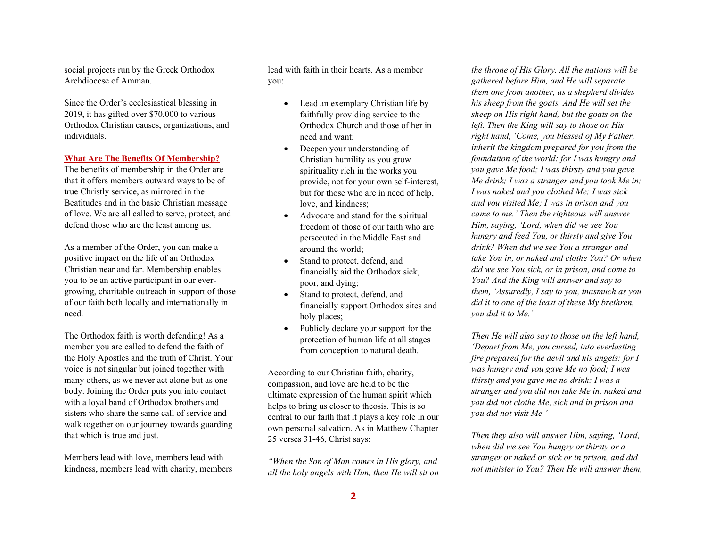social projects run by the Greek Orthodox Archdiocese of Amman.

Since the Order's ecclesiastical blessing in 2019, it has gifted over \$70,000 to various Orthodox Christian causes, organizations, and individuals.

### What Are The Benefits Of Membership?

The benefits of membership in the Order are that it offers members outward ways to be of true Christly service, as mirrored in the Beatitudes and in the basic Christian message of love. We are all called to serve, protect, and defend those who are the least among us.

As a member of the Order, you can make a positive impact on the life of an Orthodox Christian near and far. Membership enables you to be an active participant in our evergrowing, charitable outreach in support of those of our faith both locally and internationally in need.

The Orthodox faith is worth defending! As a member you are called to defend the faith of the Holy Apostles and the truth of Christ. Your voice is not singular but joined together with many others, as we never act alone but as one body. Joining the Order puts you into contact with a loyal band of Orthodox brothers and sisters who share the same call of service and walk together on our journey towards guarding that which is true and just.

Members lead with love, members lead with kindness, members lead with charity, members lead with faith in their hearts. As a member you:

- Lead an exemplary Christian life by faithfully providing service to the Orthodox Church and those of her in need and want;
- Deepen your understanding of Christian humility as you grow spirituality rich in the works you provide, not for your own self-interest, but for those who are in need of help, love, and kindness;
- Advocate and stand for the spiritual freedom of those of our faith who are persecuted in the Middle East and around the world;
- Stand to protect, defend, and financially aid the Orthodox sick, poor, and dying;
- Stand to protect, defend, and financially support Orthodox sites and holy places;
- Publicly declare your support for the protection of human life at all stages from conception to natural death.

According to our Christian faith, charity, compassion, and love are held to be the ultimate expression of the human spirit which helps to bring us closer to theosis. This is so central to our faith that it plays a key role in our own personal salvation. As in Matthew Chapter 25 verses 31-46, Christ says:

"When the Son of Man comes in His glory, and all the holy angels with Him, then He will sit on

the throne of His Glory. All the nations will be gathered before Him, and He will separate them one from another, as a shepherd divides his sheep from the goats. And He will set the sheep on His right hand, but the goats on the left. Then the King will say to those on His right hand, 'Come, you blessed of My Father, inherit the kingdom prepared for you from the foundation of the world: for I was hungry and you gave Me food; I was thirsty and you gave Me drink; I was a stranger and you took Me in; I was naked and you clothed Me; I was sick and you visited Me; I was in prison and you came to me.' Then the righteous will answer Him, saying, 'Lord, when did we see You hungry and feed You, or thirsty and give You drink? When did we see You a stranger and take You in, or naked and clothe You? Or when did we see You sick, or in prison, and come to You? And the King will answer and say to them, 'Assuredly, I say to you, inasmuch as you did it to one of the least of these My brethren, you did it to Me.'

Then He will also say to those on the left hand, 'Depart from Me, you cursed, into everlasting fire prepared for the devil and his angels: for I was hungry and you gave Me no food; I was thirsty and you gave me no drink: I was a stranger and you did not take Me in, naked and you did not clothe Me, sick and in prison and you did not visit Me.'

Then they also will answer Him, saying, 'Lord, when did we see You hungry or thirsty or a stranger or naked or sick or in prison, and did not minister to You? Then He will answer them,